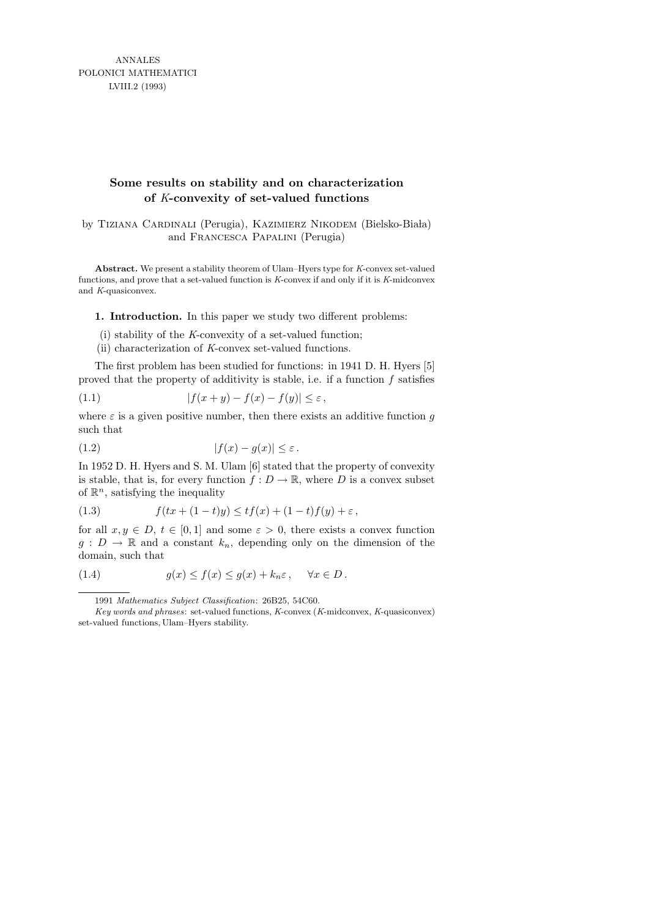ANNALES POLONICI MATHEMATICI LVIII.2 (1993)

## **Some results on stability and on characterization of** *K***-convexity of set-valued functions**

by TIZIANA CARDINALI (Perugia), KAZIMIERZ NIKODEM (Bielsko-Biała) and Francesca Papalini (Perugia)

**Abstract.** We present a stability theorem of Ulam–Hyers type for *K*-convex set-valued functions, and prove that a set-valued function is *K*-convex if and only if it is *K*-midconvex and *K*-quasiconvex.

1. Introduction. In this paper we study two different problems:

- (i) stability of the K-convexity of a set-valued function;
- (ii) characterization of K-convex set-valued functions.

The first problem has been studied for functions: in 1941 D. H. Hyers [5] proved that the property of additivity is stable, i.e. if a function  $f$  satisfies

$$
(1.1) \t\t |f(x+y) - f(x) - f(y)| \le \varepsilon,
$$

where  $\varepsilon$  is a given positive number, then there exists an additive function g such that

$$
(1.2) \t\t |f(x) - g(x)| \le \varepsilon.
$$

In 1952 D. H. Hyers and S. M. Ulam [6] stated that the property of convexity is stable, that is, for every function  $f: D \to \mathbb{R}$ , where D is a convex subset of  $\mathbb{R}^n$ , satisfying the inequality

(1.3) 
$$
f(tx + (1-t)y) \le tf(x) + (1-t)f(y) + \varepsilon,
$$

for all  $x, y \in D$ ,  $t \in [0, 1]$  and some  $\varepsilon > 0$ , there exists a convex function  $g: D \to \mathbb{R}$  and a constant  $k_n$ , depending only on the dimension of the domain, such that

(1.4) 
$$
g(x) \le f(x) \le g(x) + k_n \varepsilon, \quad \forall x \in D.
$$

<sup>1991</sup> *Mathematics Subject Classification*: 26B25, 54C60.

*Key words and phrases*: set-valued functions, *K*-convex (*K*-midconvex, *K*-quasiconvex) set-valued functions, Ulam–Hyers stability.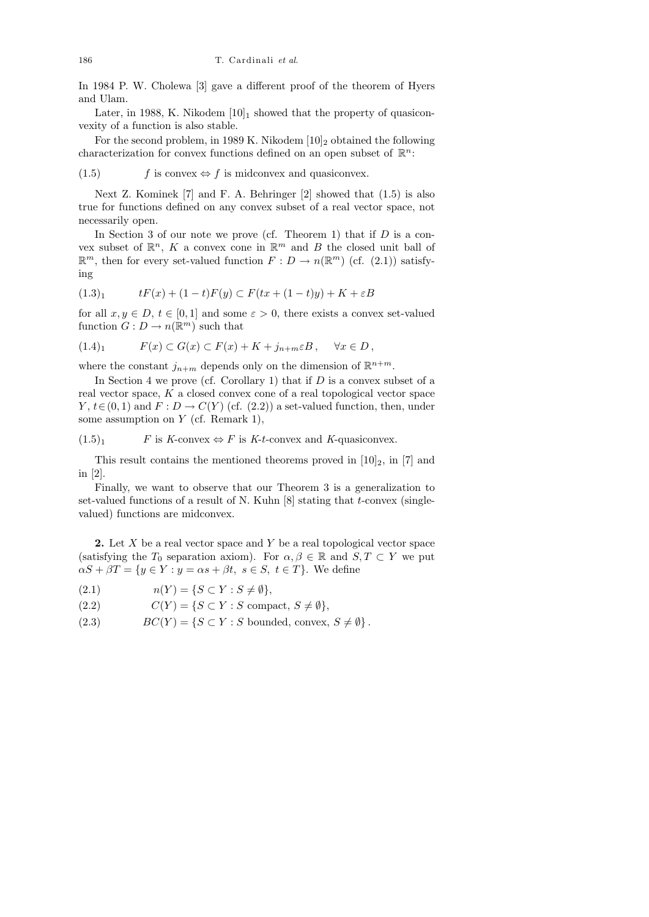In 1984 P. W. Cholewa [3] gave a different proof of the theorem of Hyers and Ulam.

Later, in 1988, K. Nikodem  $[10]_1$  showed that the property of quasiconvexity of a function is also stable.

For the second problem, in 1989 K. Nikodem  $[10]_2$  obtained the following characterization for convex functions defined on an open subset of  $\mathbb{R}^n$ :

(1.5) f is convex  $\Leftrightarrow f$  is midconvex and quasiconvex.

Next Z. Kominek [7] and F. A. Behringer [2] showed that (1.5) is also true for functions defined on any convex subset of a real vector space, not necessarily open.

In Section 3 of our note we prove (cf. Theorem 1) that if  $D$  is a convex subset of  $\mathbb{R}^n$ , K a convex cone in  $\mathbb{R}^m$  and B the closed unit ball of  $\mathbb{R}^m$ , then for every set-valued function  $F: D \to n(\mathbb{R}^m)$  (cf. (2.1)) satisfying

$$
(1.3)_1 \t tF(x) + (1-t)F(y) \subset F(tx + (1-t)y) + K + \varepsilon B
$$

for all  $x, y \in D$ ,  $t \in [0, 1]$  and some  $\varepsilon > 0$ , there exists a convex set-valued function  $G: D \to n(\mathbb{R}^m)$  such that

$$
(1.4)_1 \tF(x) \subset G(x) \subset F(x) + K + j_{n+m} \varepsilon B, \quad \forall x \in D,
$$

where the constant  $j_{n+m}$  depends only on the dimension of  $\mathbb{R}^{n+m}$ .

In Section 4 we prove (cf. Corollary 1) that if  $D$  is a convex subset of a real vector space, K a closed convex cone of a real topological vector space  $Y, t \in (0, 1)$  and  $F: D \to C(Y)$  (cf. (2.2)) a set-valued function, then, under some assumption on  $Y$  (cf. Remark 1),

 $(1.5)<sub>1</sub>$  F is K-convex  $\Leftrightarrow$  F is K-t-convex and K-quasiconvex.

This result contains the mentioned theorems proved in  $[10]_2$ , in  $[7]$  and in [2].

Finally, we want to observe that our Theorem 3 is a generalization to set-valued functions of a result of N. Kuhn  $[8]$  stating that t-convex (singlevalued) functions are midconvex.

**2.** Let  $X$  be a real vector space and  $Y$  be a real topological vector space (satisfying the  $T_0$  separation axiom). For  $\alpha, \beta \in \mathbb{R}$  and  $S, T \subset Y$  we put  $\alpha S + \beta T = \{y \in Y : y = \alpha s + \beta t, s \in S, t \in T\}.$  We define

- (2.1)  $n(Y) = \{ S \subset Y : S \neq \emptyset \},\$
- (2.2)  $C(Y) = \{ S \subset Y : S \text{ compact}, S \neq \emptyset \},\$
- (2.3)  $BC(Y) = \{ S \subset Y : S \text{ bounded, convex}, S \neq \emptyset \}.$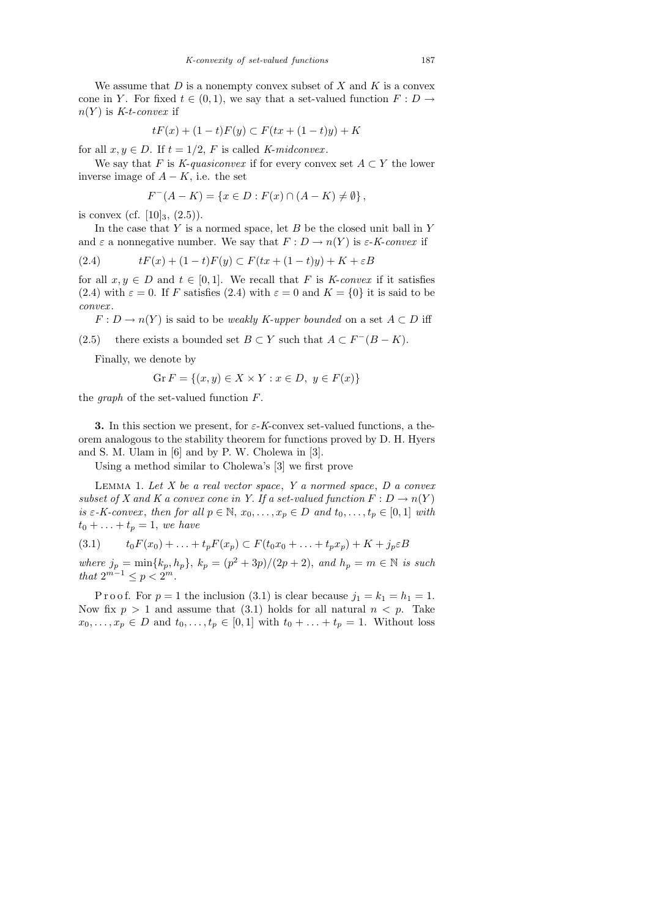We assume that  $D$  is a nonempty convex subset of  $X$  and  $K$  is a convex cone in Y. For fixed  $t \in (0,1)$ , we say that a set-valued function  $F: D \to$  $n(Y)$  is K-t-convex if

$$
tF(x) + (1-t)F(y) \subset F(tx + (1-t)y) + K
$$

for all  $x, y \in D$ . If  $t = 1/2$ , F is called K-midconvex.

We say that F is K-quasiconvex if for every convex set  $A \subset Y$  the lower inverse image of  $A - K$ , i.e. the set

$$
F^{-}(A - K) = \{x \in D : F(x) \cap (A - K) \neq \emptyset\},\
$$

is convex (cf.  $[10]_3$ ,  $(2.5)$ ).

In the case that  $Y$  is a normed space, let  $B$  be the closed unit ball in  $Y$ and  $\varepsilon$  a nonnegative number. We say that  $F: D \to n(Y)$  is  $\varepsilon$ -K-convex if

$$
(2.4) \t tF(x) + (1-t)F(y) \subset F(tx + (1-t)y) + K + \varepsilon B
$$

for all  $x, y \in D$  and  $t \in [0, 1]$ . We recall that F is K-convex if it satisfies (2.4) with  $\varepsilon = 0$ . If F satisfies (2.4) with  $\varepsilon = 0$  and  $K = \{0\}$  it is said to be convex .

 $F: D \to n(Y)$  is said to be *weakly K-upper bounded* on a set  $A \subset D$  iff

(2.5) there exists a bounded set  $B \subset Y$  such that  $A \subset F^{-}(B - K)$ .

Finally, we denote by

$$
\operatorname{Gr} F = \{(x, y) \in X \times Y : x \in D, y \in F(x)\}
$$

the *graph* of the set-valued function  $F$ .

3. In this section we present, for  $\varepsilon$ -K-convex set-valued functions, a theorem analogous to the stability theorem for functions proved by D. H. Hyers and S. M. Ulam in [6] and by P. W. Cholewa in [3].

Using a method similar to Cholewa's [3] we first prove

LEMMA 1. Let  $X$  be a real vector space,  $Y$  a normed space,  $D$  a convex subset of X and K a convex cone in Y. If a set-valued function  $F: D \to n(Y)$ is  $\varepsilon$ -K-convex, then for all  $p \in \mathbb{N}$ ,  $x_0, \ldots, x_p \in D$  and  $t_0, \ldots, t_p \in [0,1]$  with  $t_0 + \ldots + t_p = 1$ , we have

$$
(3.1) \t t_0 F(x_0) + \ldots + t_p F(x_p) \subset F(t_0 x_0 + \ldots + t_p x_p) + K + j_p \varepsilon B
$$

where  $j_p = \min\{k_p, h_p\}, k_p = (p^2 + 3p)/(2p + 2)$ , and  $h_p = m \in \mathbb{N}$  is such that  $2^{m-1} \le p < 2^m$ .

P r o o f. For  $p = 1$  the inclusion (3.1) is clear because  $j_1 = k_1 = h_1 = 1$ . Now fix  $p > 1$  and assume that (3.1) holds for all natural  $n < p$ . Take  $x_0, \ldots, x_p \in D$  and  $t_0, \ldots, t_p \in [0,1]$  with  $t_0 + \ldots + t_p = 1$ . Without loss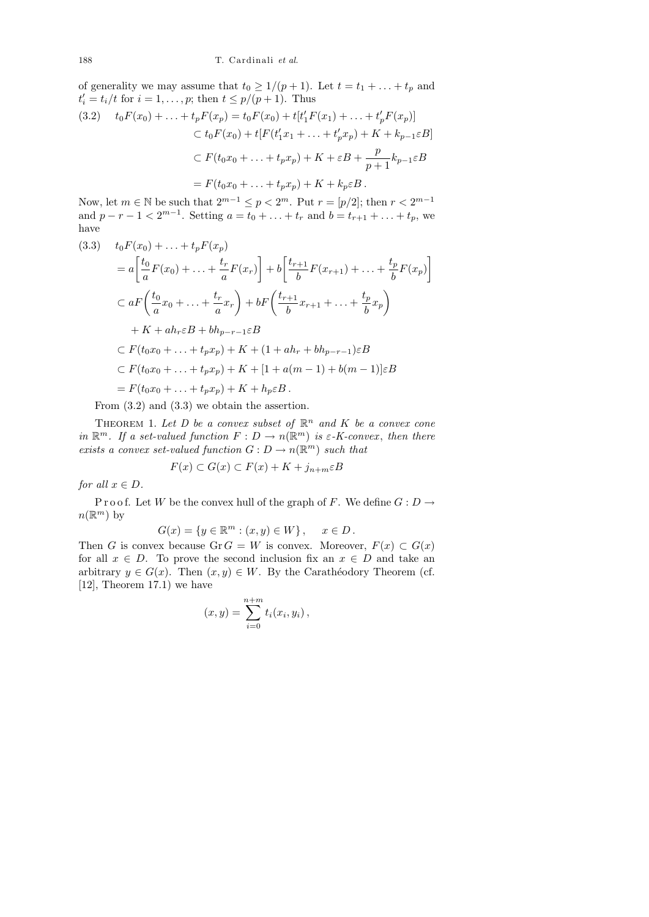of generality we may assume that  $t_0 \geq 1/(p+1)$ . Let  $t = t_1 + \ldots + t_p$  and  $t'_{i} = t_{i}/t$  for  $i = 1, ..., p$ ; then  $t \leq p/(p+1)$ . Thus

$$
(3.2) \t t_0 F(x_0) + \ldots + t_p F(x_p) = t_0 F(x_0) + t[t'_1 F(x_1) + \ldots + t'_p F(x_p)]
$$
  
\n
$$
\subset t_0 F(x_0) + t[F(t'_1 x_1 + \ldots + t'_p x_p) + K + k_{p-1} \varepsilon B]
$$
  
\n
$$
\subset F(t_0 x_0 + \ldots + t_p x_p) + K + \varepsilon B + \frac{p}{p+1} k_{p-1} \varepsilon B
$$
  
\n
$$
= F(t_0 x_0 + \ldots + t_p x_p) + K + k_p \varepsilon B.
$$

Now, let  $m \in \mathbb{N}$  be such that  $2^{m-1} \le p < 2^m$ . Put  $r = [p/2]$ ; then  $r < 2^{m-1}$ and  $p - r - 1 < 2^{m-1}$ . Setting  $a = t_0 + \ldots + t_r$  and  $b = t_{r+1} + \ldots + t_p$ , we have

$$
(3.3) \t t_0 F(x_0) + \ldots + t_p F(x_p)
$$
  
=  $a \left[ \frac{t_0}{a} F(x_0) + \ldots + \frac{t_r}{a} F(x_r) \right] + b \left[ \frac{t_{r+1}}{b} F(x_{r+1}) + \ldots + \frac{t_p}{b} F(x_p) \right]$   
 $\subset a F \left( \frac{t_0}{a} x_0 + \ldots + \frac{t_r}{a} x_r \right) + b F \left( \frac{t_{r+1}}{b} x_{r+1} + \ldots + \frac{t_p}{b} x_p \right)$   
+  $K + a h_r \varepsilon B + b h_{p-r-1} \varepsilon B$   
 $\subset F(t_0 x_0 + \ldots + t_p x_p) + K + (1 + a h_r + b h_{p-r-1}) \varepsilon B$   
 $\subset F(t_0 x_0 + \ldots + t_p x_p) + K + [1 + a(m - 1) + b(m - 1)] \varepsilon B$   
=  $F(t_0 x_0 + \ldots + t_p x_p) + K + h_p \varepsilon B$ .

From (3.2) and (3.3) we obtain the assertion.

THEOREM 1. Let D be a convex subset of  $\mathbb{R}^n$  and K be a convex cone in  $\mathbb{R}^m$ . If a set-valued function  $F: D \to n(\mathbb{R}^m)$  is  $\varepsilon$ -K-convex, then there exists a convex set-valued function  $G: D \to n(\mathbb{R}^m)$  such that

$$
F(x) \subset G(x) \subset F(x) + K + j_{n+m} \varepsilon B
$$

for all  $x \in D$ .

P r o o f. Let W be the convex hull of the graph of F. We define  $G: D \to$  $n(\mathbb{R}^m)$  by

$$
G(x) = \{ y \in \mathbb{R}^m : (x, y) \in W \}, \quad x \in D.
$$

Then G is convex because Gr  $G = W$  is convex. Moreover,  $F(x) \subset G(x)$ for all  $x \in D$ . To prove the second inclusion fix an  $x \in D$  and take an arbitrary  $y \in G(x)$ . Then  $(x, y) \in W$ . By the Carathéodory Theorem (cf. [12], Theorem 17.1) we have

$$
(x,y) = \sum_{i=0}^{n+m} t_i(x_i, y_i),
$$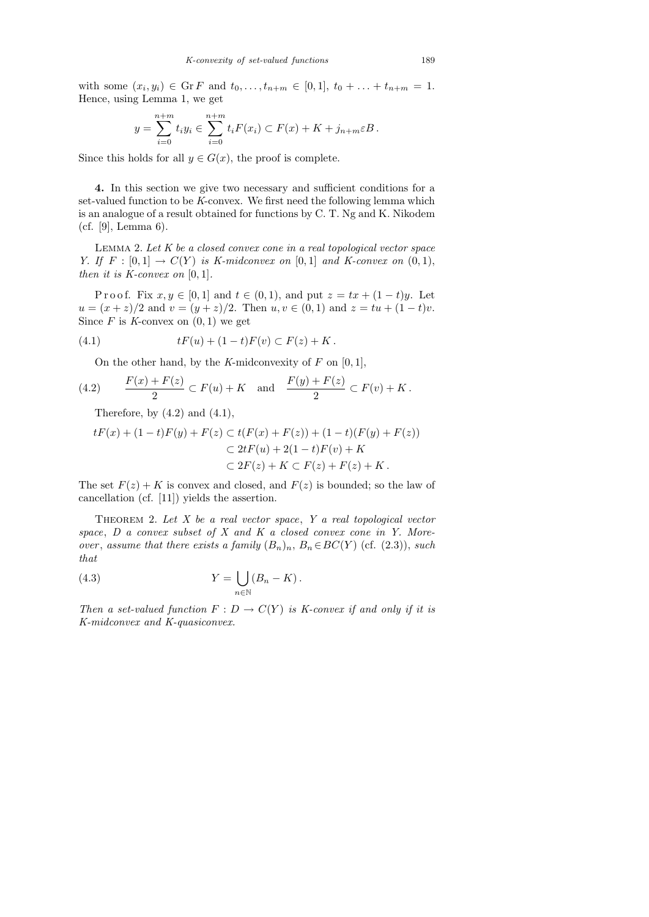with some  $(x_i, y_i) \in \text{Gr } F$  and  $t_0, \ldots, t_{n+m} \in [0,1], t_0 + \ldots + t_{n+m} = 1.$ Hence, using Lemma 1, we get

$$
y = \sum_{i=0}^{n+m} t_i y_i \in \sum_{i=0}^{n+m} t_i F(x_i) \subset F(x) + K + j_{n+m} \varepsilon B.
$$

Since this holds for all  $y \in G(x)$ , the proof is complete.

4. In this section we give two necessary and sufficient conditions for a set-valued function to be K-convex. We first need the following lemma which is an analogue of a result obtained for functions by C. T. Ng and K. Nikodem (cf. [9], Lemma 6).

LEMMA 2. Let  $K$  be a closed convex cone in a real topological vector space Y. If  $F : [0,1] \rightarrow C(Y)$  is K-midconvex on  $[0,1]$  and K-convex on  $(0,1)$ , then it is  $K\text{-}convex$  on  $[0, 1]$ .

P r o o f. Fix  $x, y \in [0, 1]$  and  $t \in (0, 1)$ , and put  $z = tx + (1 - t)y$ . Let  $u = (x + z)/2$  and  $v = (y + z)/2$ . Then  $u, v \in (0, 1)$  and  $z = tu + (1 - t)v$ . Since  $F$  is  $K$ -convex on  $(0, 1)$  we get

(4.1) 
$$
tF(u) + (1-t)F(v) \subset F(z) + K.
$$

On the other hand, by the K-midconvexity of  $F$  on  $[0, 1]$ ,

(4.2) 
$$
\frac{F(x) + F(z)}{2} \subset F(u) + K
$$
 and  $\frac{F(y) + F(z)}{2} \subset F(v) + K$ .

Therefore, by  $(4.2)$  and  $(4.1)$ ,

$$
tF(x) + (1-t)F(y) + F(z) \subset t(F(x) + F(z)) + (1-t)(F(y) + F(z))
$$
  

$$
\subset 2tF(u) + 2(1-t)F(v) + K
$$
  

$$
\subset 2F(z) + K \subset F(z) + F(z) + K.
$$

The set  $F(z) + K$  is convex and closed, and  $F(z)$  is bounded; so the law of cancellation (cf. [11]) yields the assertion.

THEOREM 2. Let  $X$  be a real vector space,  $Y$  a real topological vector space,  $D$  a convex subset of  $X$  and  $K$  a closed convex cone in  $Y$ . Moreover, assume that there exists a family  $(B_n)_n$ ,  $B_n \in BC(Y)$  (cf. (2.3)), such that

(4.3) 
$$
Y = \bigcup_{n \in \mathbb{N}} (B_n - K).
$$

Then a set-valued function  $F: D \to C(Y)$  is K-convex if and only if it is K-midconvex and K-quasiconvex.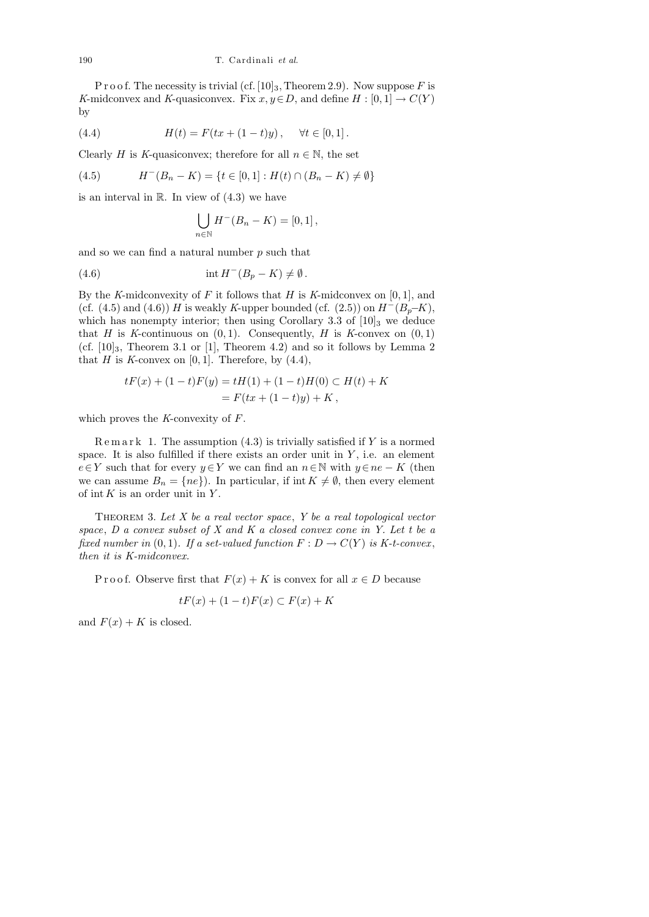P r o o f. The necessity is trivial (cf.  $[10]_3$ , Theorem 2.9). Now suppose F is K-midconvex and K-quasiconvex. Fix  $x, y \in D$ , and define  $H : [0, 1] \to C(Y)$ by

(4.4) 
$$
H(t) = F(tx + (1-t)y), \quad \forall t \in [0,1].
$$

Clearly H is K-quasiconvex; therefore for all  $n \in \mathbb{N}$ , the set

(4.5) 
$$
H^-(B_n - K) = \{t \in [0,1] : H(t) \cap (B_n - K) \neq \emptyset\}
$$

is an interval in  $\mathbb R$ . In view of  $(4.3)$  we have

$$
\bigcup_{n\in\mathbb{N}} H^-(B_n - K) = [0,1],
$$

and so we can find a natural number  $p$  such that

(4.6) 
$$
\operatorname{int} H^{-}(B_{p} - K) \neq \emptyset.
$$

By the K-midconvexity of F it follows that H is K-midconvex on  $[0, 1]$ , and (cf. (4.5) and (4.6)) H is weakly K-upper bounded (cf.  $(2.5)$ ) on  $H^{-}(B_{p}–K)$ , which has nonempty interior; then using Corollary 3.3 of  $[10]_3$  we deduce that H is K-continuous on  $(0, 1)$ . Consequently, H is K-convex on  $(0, 1)$ (cf.  $[10]_3$ , Theorem 3.1 or [1], Theorem 4.2) and so it follows by Lemma 2 that H is K-convex on  $[0, 1]$ . Therefore, by  $(4.4)$ ,

$$
tF(x) + (1-t)F(y) = tH(1) + (1-t)H(0) \subset H(t) + K
$$
  
=  $F(tx + (1-t)y) + K$ ,

which proves the  $K$ -convexity of  $F$ .

 $\text{R}$  e m a r k 1. The assumption (4.3) is trivially satisfied if Y is a normed space. It is also fulfilled if there exists an order unit in  $Y$ , i.e. an element  $e \in Y$  such that for every  $y \in Y$  we can find an  $n \in \mathbb{N}$  with  $y \in ne - K$  (then we can assume  $B_n = \{ne\}$ . In particular, if int  $K \neq \emptyset$ , then every element of int  $K$  is an order unit in  $Y$ .

THEOREM 3. Let  $X$  be a real vector space,  $Y$  be a real topological vector space,  $D$  a convex subset of  $X$  and  $K$  a closed convex cone in  $Y$ . Let t be a fixed number in (0, 1). If a set-valued function  $F: D \to C(Y)$  is K-t-convex, then it is K-midconvex.

P r o o f. Observe first that  $F(x) + K$  is convex for all  $x \in D$  because

$$
tF(x) + (1 - t)F(x) \subset F(x) + K
$$

and  $F(x) + K$  is closed.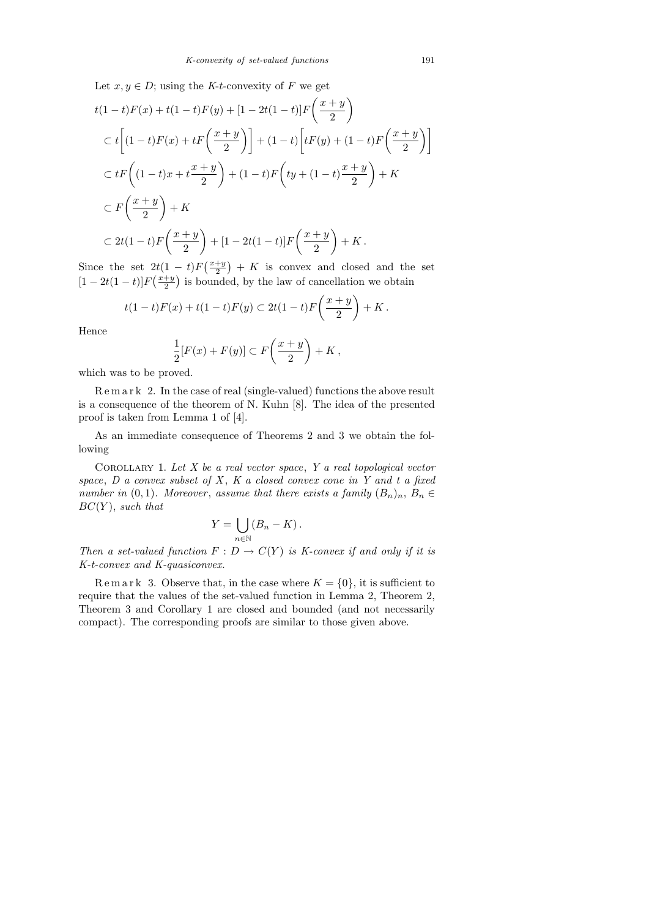Let  $x, y \in D$ ; using the K-t-convexity of F we get

$$
t(1-t)F(x) + t(1-t)F(y) + [1 - 2t(1-t)]F\left(\frac{x+y}{2}\right)
$$
  
\n
$$
\subset t\left[(1-t)F(x) + tF\left(\frac{x+y}{2}\right)\right] + (1-t)\left[tF(y) + (1-t)F\left(\frac{x+y}{2}\right)\right]
$$
  
\n
$$
\subset tF\left((1-t)x + t\frac{x+y}{2}\right) + (1-t)F\left(ty + (1-t)\frac{x+y}{2}\right) + K
$$
  
\n
$$
\subset F\left(\frac{x+y}{2}\right) + K
$$
  
\n
$$
\subset 2t(1-t)F\left(\frac{x+y}{2}\right) + [1 - 2t(1-t)]F\left(\frac{x+y}{2}\right) + K.
$$

Since the set  $2t(1-t)F\left(\frac{x+y}{2}\right)$  $(\frac{+y}{2}) + K$  is convex and closed and the set  $[1-2t(1-t)]F(\frac{x+y}{2})$  $\frac{+y}{2}$  is bounded, by the law of cancellation we obtain

$$
t(1-t)F(x) + t(1-t)F(y) \subset 2t(1-t)F\left(\frac{x+y}{2}\right) + K.
$$

Hence

$$
\frac{1}{2}[F(x) + F(y)] \subset F\left(\frac{x+y}{2}\right) + K,
$$

which was to be proved.

R e m a r k 2. In the case of real (single-valued) functions the above result is a consequence of the theorem of N. Kuhn [8]. The idea of the presented proof is taken from Lemma 1 of [4].

As an immediate consequence of Theorems 2 and 3 we obtain the following

COROLLARY 1. Let  $X$  be a real vector space,  $Y$  a real topological vector space,  $D$  a convex subset of  $X$ ,  $K$  a closed convex cone in  $Y$  and  $t$  a fixed number in  $(0, 1)$ . Moreover, assume that there exists a family  $(B_n)_n$ ,  $B_n \in$  $BC(Y)$ , such that

$$
Y = \bigcup_{n \in \mathbb{N}} (B_n - K).
$$

Then a set-valued function  $F : D \to C(Y)$  is K-convex if and only if it is K-t-convex and K-quasiconvex.

Remark 3. Observe that, in the case where  $K = \{0\}$ , it is sufficient to require that the values of the set-valued function in Lemma 2, Theorem 2, Theorem 3 and Corollary 1 are closed and bounded (and not necessarily compact). The corresponding proofs are similar to those given above.